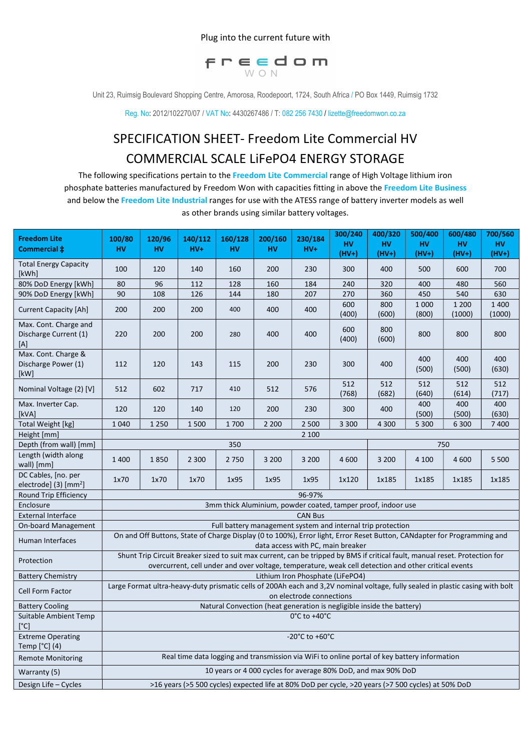## Plug into the current future with



Unit 23, Ruimsig Boulevard Shopping Centre, Amorosa, Roodepoort, 1724, South Africa / PO Box 1449, Ruimsig 1732

Reg. No: 2012/102270/07 / VAT No: 4430267486 / T: 082 256 7430 / lizette@freedomwon.co.za

## SPECIFICATION SHEET- Freedom Lite Commercial HV COMMERCIAL SCALE LiFePO4 ENERGY STORAGE

The following specifications pertain to the Freedom Lite Commercial range of High Voltage lithium iron phosphate batteries manufactured by Freedom Won with capacities fitting in above the Freedom Lite Business and below the Freedom Lite Industrial ranges for use with the ATESS range of battery inverter models as well as other brands using similar battery voltages.

| <b>Freedom Lite</b><br>Commercial $\ddagger$             | 100/80<br>HV                                                                                                                                                                                                                        | 120/96<br>HV | 140/112<br>$HV+$                                                                             | 160/128<br><b>HV</b> | 200/160<br>HV | 230/184<br>$HV+$ | 300/240<br><b>HV</b> | 400/320<br><b>HV</b> | 500/400<br><b>HV</b> | 600/480<br>HV     | 700/560<br><b>HV</b> |
|----------------------------------------------------------|-------------------------------------------------------------------------------------------------------------------------------------------------------------------------------------------------------------------------------------|--------------|----------------------------------------------------------------------------------------------|----------------------|---------------|------------------|----------------------|----------------------|----------------------|-------------------|----------------------|
|                                                          |                                                                                                                                                                                                                                     |              |                                                                                              |                      |               |                  | $(HV+)$              | $(HV+)$              | $(HV+)$              | $(HV+)$           | $(HV+)$              |
| <b>Total Energy Capacity</b><br>[kWh]                    | 100                                                                                                                                                                                                                                 | 120          | 140                                                                                          | 160                  | 200           | 230              | 300                  | 400                  | 500                  | 600               | 700                  |
| 80% DoD Energy [kWh]                                     | 80                                                                                                                                                                                                                                  | 96           | 112                                                                                          | 128                  | 160           | 184              | 240                  | 320                  | 400                  | 480               | 560                  |
| 90% DoD Energy [kWh]                                     | 90                                                                                                                                                                                                                                  | 108          | 126                                                                                          | 144                  | 180           | 207              | 270                  | 360                  | 450                  | 540               | 630                  |
| <b>Current Capacity [Ah]</b>                             | 200                                                                                                                                                                                                                                 | 200          | 200                                                                                          | 400                  | 400           | 400              | 600<br>(400)         | 800<br>(600)         | 1 0 0 0<br>(800)     | 1 2 0 0<br>(1000) | 1 4 0 0<br>(1000)    |
| Max. Cont. Charge and<br>Discharge Current (1)<br>[A]    | 220                                                                                                                                                                                                                                 | 200          | 200                                                                                          | 280                  | 400           | 400              | 600<br>(400)         | 800<br>(600)         | 800                  | 800               | 800                  |
| Max. Cont. Charge &<br>Discharge Power (1)<br>[kW]       | 112                                                                                                                                                                                                                                 | 120          | 143                                                                                          | 115                  | 200           | 230              | 300                  | 400                  | 400<br>(500)         | 400<br>(500)      | 400<br>(630)         |
| Nominal Voltage (2) [V]                                  | 512                                                                                                                                                                                                                                 | 602          | 717                                                                                          | 410                  | 512           | 576              | 512<br>(768)         | 512<br>(682)         | 512<br>(640)         | 512<br>(614)      | 512<br>(717)         |
| Max. Inverter Cap.<br>[kVA]                              | 120                                                                                                                                                                                                                                 | 120          | 140                                                                                          | 120                  | 200           | 230              | 300                  | 400                  | 400<br>(500)         | 400<br>(500)      | 400<br>(630)         |
| <b>Total Weight [kg]</b>                                 | 1 0 4 0                                                                                                                                                                                                                             | 1 2 5 0      | 1500                                                                                         | 1700                 | 2 2 0 0       | 2 5 0 0          | 3 3 0 0              | 4 3 0 0              | 5 3 0 0              | 6 300             | 7400                 |
| Height [mm]                                              | 2 100                                                                                                                                                                                                                               |              |                                                                                              |                      |               |                  |                      |                      |                      |                   |                      |
| Depth (from wall) [mm]                                   | 350<br>750                                                                                                                                                                                                                          |              |                                                                                              |                      |               |                  |                      |                      |                      |                   |                      |
| Length (width along<br>wall) [mm]                        | 1400                                                                                                                                                                                                                                | 1850         | 2 3 0 0                                                                                      | 2750                 | 3 2 0 0       | 3 2 0 0          | 4 600                | 3 2 0 0              | 4 100                | 4 600             | 5 5 0 0              |
| DC Cables, [no. per<br>electrode] (3) [mm <sup>2</sup> ] | 1x70                                                                                                                                                                                                                                | 1x70         | 1x70                                                                                         | 1x95                 | 1x95          | 1x95             | 1x120                | 1x185                | 1x185                | 1x185             | 1x185                |
| Round Trip Efficiency                                    | 96-97%                                                                                                                                                                                                                              |              |                                                                                              |                      |               |                  |                      |                      |                      |                   |                      |
| Enclosure                                                | 3mm thick Aluminium, powder coated, tamper proof, indoor use                                                                                                                                                                        |              |                                                                                              |                      |               |                  |                      |                      |                      |                   |                      |
| <b>External Interface</b>                                | <b>CAN Bus</b>                                                                                                                                                                                                                      |              |                                                                                              |                      |               |                  |                      |                      |                      |                   |                      |
| <b>On-board Management</b>                               | Full battery management system and internal trip protection                                                                                                                                                                         |              |                                                                                              |                      |               |                  |                      |                      |                      |                   |                      |
| Human Interfaces                                         | On and Off Buttons, State of Charge Display (0 to 100%), Error light, Error Reset Button, CANdapter for Programming and<br>data access with PC, main breaker                                                                        |              |                                                                                              |                      |               |                  |                      |                      |                      |                   |                      |
| Protection                                               | Shunt Trip Circuit Breaker sized to suit max current, can be tripped by BMS if critical fault, manual reset. Protection for<br>overcurrent, cell under and over voltage, temperature, weak cell detection and other critical events |              |                                                                                              |                      |               |                  |                      |                      |                      |                   |                      |
| <b>Battery Chemistry</b>                                 | Lithium Iron Phosphate (LiFePO4)                                                                                                                                                                                                    |              |                                                                                              |                      |               |                  |                      |                      |                      |                   |                      |
| Cell Form Factor                                         | Large Format ultra-heavy-duty prismatic cells of 200Ah each and 3,2V nominal voltage, fully sealed in plastic casing with bolt<br>on electrode connections                                                                          |              |                                                                                              |                      |               |                  |                      |                      |                      |                   |                      |
| <b>Battery Cooling</b>                                   | Natural Convection (heat generation is negligible inside the battery)                                                                                                                                                               |              |                                                                                              |                      |               |                  |                      |                      |                      |                   |                      |
| Suitable Ambient Temp<br>[°C]                            | $0^{\circ}$ C to +40 $^{\circ}$ C                                                                                                                                                                                                   |              |                                                                                              |                      |               |                  |                      |                      |                      |                   |                      |
| <b>Extreme Operating</b><br>Temp [°C] (4)                | -20 $^{\circ}$ C to +60 $^{\circ}$ C                                                                                                                                                                                                |              |                                                                                              |                      |               |                  |                      |                      |                      |                   |                      |
| <b>Remote Monitoring</b>                                 |                                                                                                                                                                                                                                     |              | Real time data logging and transmission via WiFi to online portal of key battery information |                      |               |                  |                      |                      |                      |                   |                      |
| Warranty (5)                                             | 10 years or 4 000 cycles for average 80% DoD, and max 90% DoD                                                                                                                                                                       |              |                                                                                              |                      |               |                  |                      |                      |                      |                   |                      |
| Design Life - Cycles                                     | >16 years (>5 500 cycles) expected life at 80% DoD per cycle, >20 years (>7 500 cycles) at 50% DoD                                                                                                                                  |              |                                                                                              |                      |               |                  |                      |                      |                      |                   |                      |